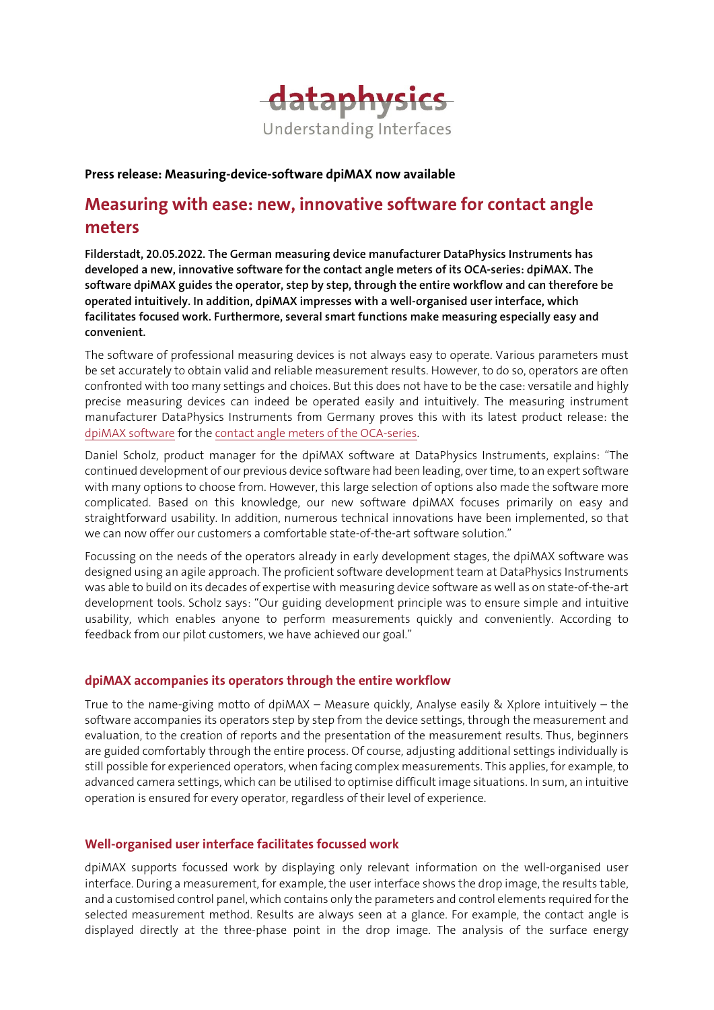

### Press release: Measuring-device-software dpiMAX now available

# Measuring with ease: new, innovative software for contact angle meters

Filderstadt, 20.05.2022. The German measuring device manufacturer DataPhysics Instruments has developed a new, innovative software for the contact angle meters of its OCA-series: dpiMAX. The software dpiMAX guides the operator, step by step, through the entire workflow and can therefore be operated intuitively. In addition, dpiMAX impresses with a well-organised user interface, which facilitates focused work. Furthermore, several smart functions make measuring especially easy and convenient.

The software of professional measuring devices is not always easy to operate. Various parameters must be set accurately to obtain valid and reliable measurement results. However, to do so, operators are often confronted with too many settings and choices. But this does not have to be the case: versatile and highly precise measuring devices can indeed be operated easily and intuitively. The measuring instrument manufacturer DataPhysics Instruments from Germany proves this with its latest product release: the [dpiMAX software](https://www.dataphysics-instruments.com/products/oca/software/) for the [contact angle meters](https://www.dataphysics-instruments.com/products/oca/) of the OCA-series.

Daniel Scholz, product manager for the dpiMAX software at DataPhysics Instruments, explains: "The continued development of our previous device software had been leading, over time, to an expert software with many options to choose from. However, this large selection of options also made the software more complicated. Based on this knowledge, our new software dpiMAX focuses primarily on easy and straightforward usability. In addition, numerous technical innovations have been implemented, so that we can now offer our customers a comfortable state-of-the-art software solution."

Focussing on the needs of the operators already in early development stages, the dpiMAX software was designed using an agile approach. The proficient software development team at DataPhysics Instruments was able to build on its decades of expertise with measuring device software as well as on state-of-the-art development tools. Scholz says: "Our guiding development principle was to ensure simple and intuitive usability, which enables anyone to perform measurements quickly and conveniently. According to feedback from our pilot customers, we have achieved our goal."

# dpiMAX accompanies its operators through the entire workflow

True to the name-giving motto of dpiMAX – Measure quickly, Analyse easily & Xplore intuitively – the software accompanies its operators step by step from the device settings, through the measurement and evaluation, to the creation of reports and the presentation of the measurement results. Thus, beginners are guided comfortably through the entire process. Of course, adjusting additional settings individually is still possible for experienced operators, when facing complex measurements. This applies, for example, to advanced camera settings, which can be utilised to optimise difficult image situations. In sum, an intuitive operation is ensured for every operator, regardless of their level of experience.

# Well-organised user interface facilitates focussed work

dpiMAX supports focussed work by displaying only relevant information on the well-organised user interface. During a measurement, for example, the user interface shows the drop image, the results table, and a customised control panel, which contains only the parameters and control elements required for the selected measurement method. Results are always seen at a glance. For example, the contact angle is displayed directly at the three-phase point in the drop image. The analysis of the surface energy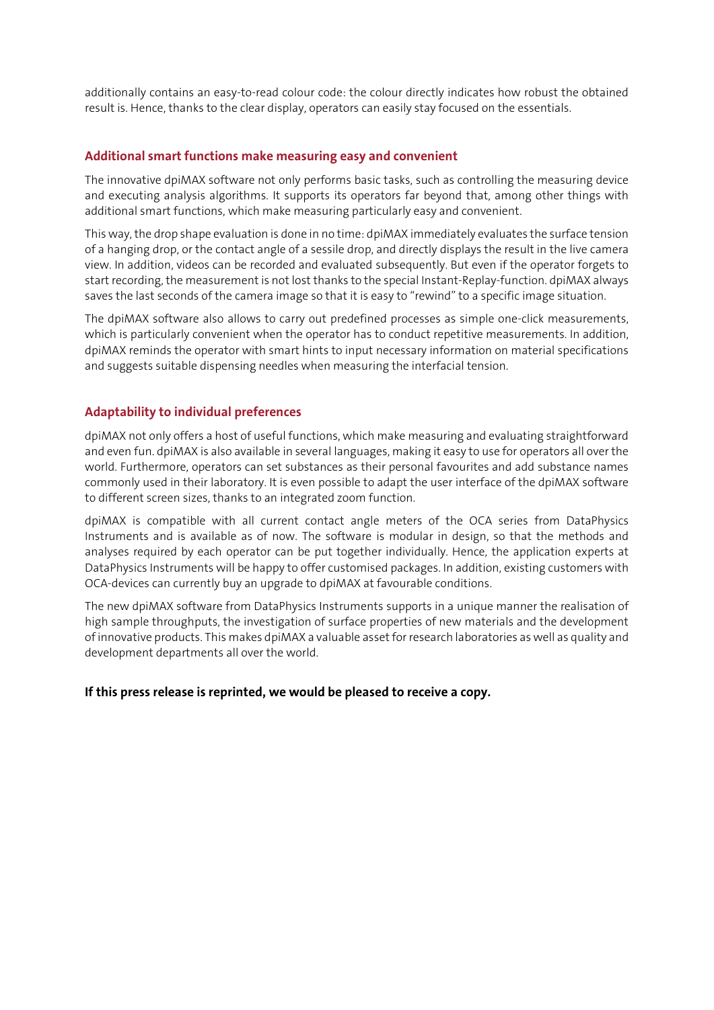additionally contains an easy-to-read colour code: the colour directly indicates how robust the obtained result is. Hence, thanks to the clear display, operators can easily stay focused on the essentials.

### Additional smart functions make measuring easy and convenient

The innovative dpiMAX software not only performs basic tasks, such as controlling the measuring device and executing analysis algorithms. It supports its operators far beyond that, among other things with additional smart functions, which make measuring particularly easy and convenient.

This way, the drop shape evaluation is done in no time: dpiMAX immediately evaluates the surface tension of a hanging drop, or the contact angle of a sessile drop, and directly displays the result in the live camera view. In addition, videos can be recorded and evaluated subsequently. But even if the operator forgets to start recording, the measurement is not lost thanks to the special Instant-Replay-function. dpiMAX always saves the last seconds of the camera image so that it is easy to "rewind" to a specific image situation.

The dpiMAX software also allows to carry out predefined processes as simple one-click measurements, which is particularly convenient when the operator has to conduct repetitive measurements. In addition, dpiMAX reminds the operator with smart hints to input necessary information on material specifications and suggests suitable dispensing needles when measuring the interfacial tension.

### Adaptability to individual preferences

dpiMAX not only offers a host of useful functions, which make measuring and evaluating straightforward and even fun. dpiMAX is also available in several languages, making it easy to use for operators all over the world. Furthermore, operators can set substances as their personal favourites and add substance names commonly used in their laboratory. It is even possible to adapt the user interface of the dpiMAX software to different screen sizes, thanks to an integrated zoom function.

dpiMAX is compatible with all current contact angle meters of the OCA series from DataPhysics Instruments and is available as of now. The software is modular in design, so that the methods and analyses required by each operator can be put together individually. Hence, the application experts at DataPhysics Instruments will be happy to offer customised packages. In addition, existing customers with OCA-devices can currently buy an upgrade to dpiMAX at favourable conditions.

The new dpiMAX software from DataPhysics Instruments supports in a unique manner the realisation of high sample throughputs, the investigation of surface properties of new materials and the development of innovative products. This makes dpiMAX a valuable asset for research laboratories as well as quality and development departments all over the world.

### If this press release is reprinted, we would be pleased to receive a copy.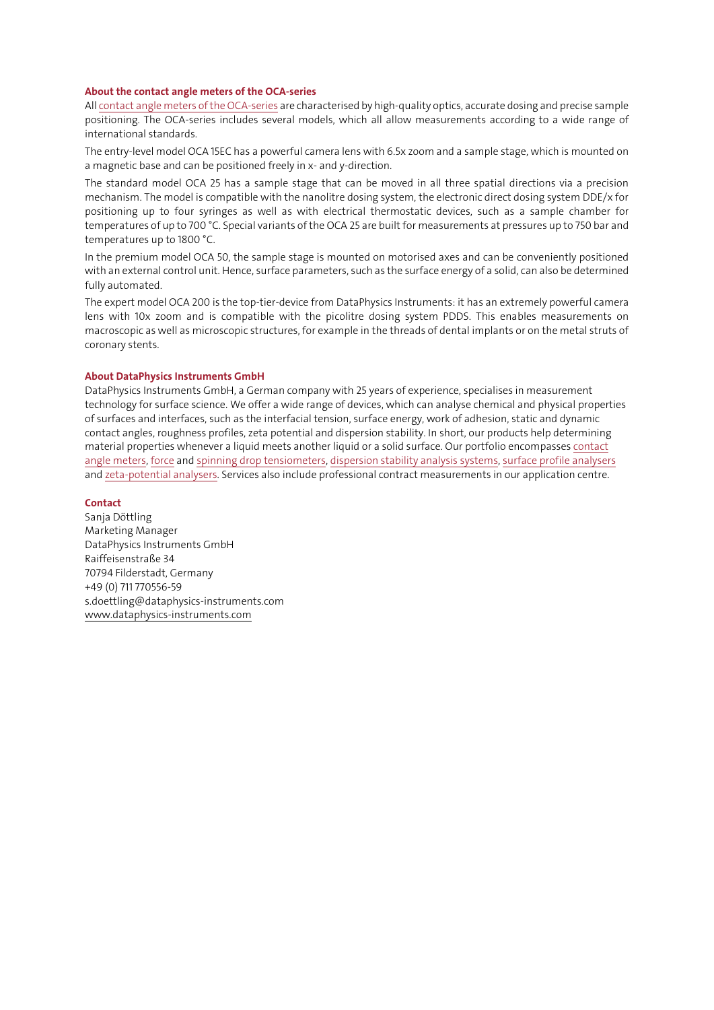#### About the contact angle meters of the OCA-series

Al[l contact angle meters](https://www.dataphysics-instruments.com/products/oca/) of the OCA-series are characterised by high-quality optics, accurate dosing and precise sample positioning. The OCA-series includes several models, which all allow measurements according to a wide range of international standards.

The entry-level model OCA 15EC has a powerful camera lens with 6.5x zoom and a sample stage, which is mounted on a magnetic base and can be positioned freely in x- and y-direction.

The standard model OCA 25 has a sample stage that can be moved in all three spatial directions via a precision mechanism. The model is compatible with the nanolitre dosing system, the electronic direct dosing system DDE/x for positioning up to four syringes as well as with electrical thermostatic devices, such as a sample chamber for temperatures of up to 700 °C. Special variants of the OCA 25 are built for measurements at pressures up to 750 bar and temperatures up to 1800 °C.

In the premium model OCA 50, the sample stage is mounted on motorised axes and can be conveniently positioned with an external control unit. Hence, surface parameters, such as the surface energy of a solid, can also be determined fully automated.

The expert model OCA 200 is the top-tier-device from DataPhysics Instruments: it has an extremely powerful camera lens with 10x zoom and is compatible with the picolitre dosing system PDDS. This enables measurements on macroscopic as well as microscopic structures, for example in the threads of dental implants or on the metal struts of coronary stents.

#### About DataPhysics Instruments GmbH

DataPhysics Instruments GmbH, a German company with 25 years of experience, specialises in measurement technology for surface science. We offer a wide range of devices, which can analyse chemical and physical properties of surfaces and interfaces, such as the interfacial tension, surface energy, work of adhesion, static and dynamic contact angles, roughness profiles, zeta potential and dispersion stability. In short, our products help determining material properties whenever a liquid meets another liquid or a solid surface. Our portfolio encompasses [contact](https://www.dataphysics-instruments.com/products/oca/)  [angle meters,](https://www.dataphysics-instruments.com/products/oca/) [force](https://www.dataphysics-instruments.com/products/dcat/) an[d spinning drop tensiometers,](https://www.dataphysics-instruments.com/products/svt/) [dispersion stability analysis systems,](https://www.dataphysics-instruments.com/products/ms/) [surface profile analysers](https://www.dataphysics-instruments.com/products/spa/) an[d zeta-potential analysers.](https://www.dataphysics-instruments.com/products/zpa/) Services also include professional contract measurements in our application centre.

#### **Contact**

Sanja Döttling Marketing Manager DataPhysics Instruments GmbH Raiffeisenstraße 34 70794 Filderstadt, Germany +49 (0) 711 770556-59 s.doettling@dataphysics-instruments.com [www.dataphysics-instruments.com](http://www.dataphysics-instruments.com/)